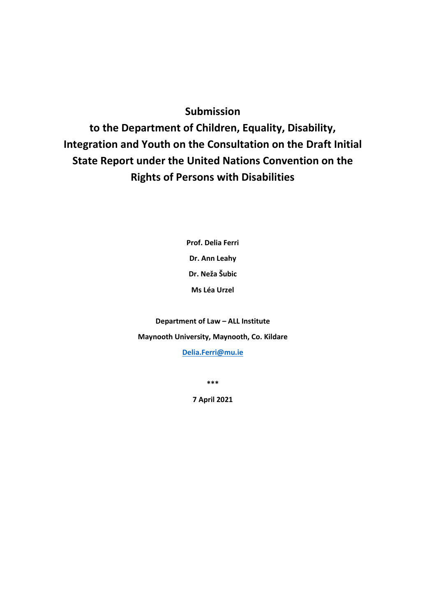# **Submission**

**to the Department of Children, Equality, Disability, Integration and Youth on the Consultation on the Draft Initial State Report under the United Nations Convention on the Rights of Persons with Disabilities**

> **Prof. Delia Ferri Dr. Ann Leahy Dr. Neža Šubic Ms Léa Urzel**

**Department of Law – ALL Institute Maynooth University, Maynooth, Co. Kildare [Delia.Ferri@mu.ie](mailto:Delia.Ferri@mu.ie)**

**\*\*\***

**7 April 2021**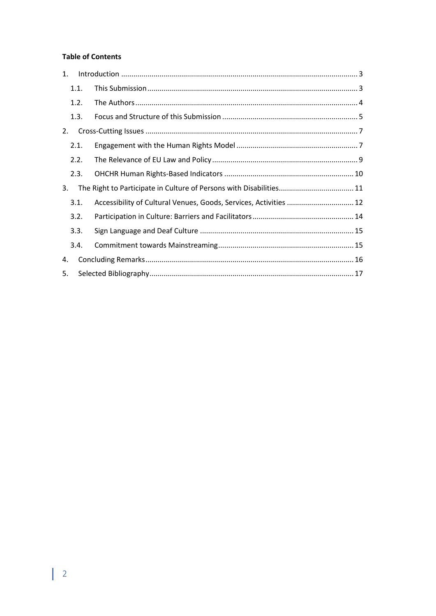# **Table of Contents**

| 1. |      |                                                                   |  |  |
|----|------|-------------------------------------------------------------------|--|--|
|    | 1.1. |                                                                   |  |  |
|    | 1.2. |                                                                   |  |  |
|    | 1.3. |                                                                   |  |  |
| 2. |      |                                                                   |  |  |
|    | 2.1. |                                                                   |  |  |
|    | 2.2. |                                                                   |  |  |
|    | 2.3. |                                                                   |  |  |
| 3. |      |                                                                   |  |  |
|    | 3.1. | Accessibility of Cultural Venues, Goods, Services, Activities  12 |  |  |
|    | 3.2. |                                                                   |  |  |
|    | 3.3. |                                                                   |  |  |
|    | 3.4. |                                                                   |  |  |
| 4. |      |                                                                   |  |  |
| 5. |      |                                                                   |  |  |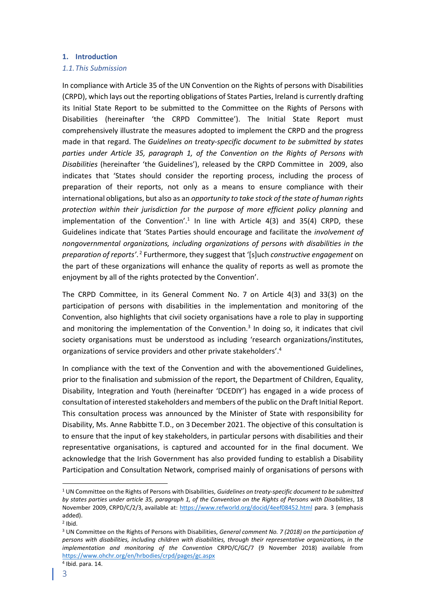### <span id="page-2-0"></span>**1. Introduction**

### <span id="page-2-1"></span>*1.1.This Submission*

In compliance with Article 35 of the UN Convention on the Rights of persons with Disabilities (CRPD), which lays out the reporting obligations of States Parties, Ireland is currently drafting its Initial State Report to be submitted to the Committee on the Rights of Persons with Disabilities (hereinafter 'the CRPD Committee'). The Initial State Report must comprehensively illustrate the measures adopted to implement the CRPD and the progress made in that regard. The *Guidelines on treaty-specific document to be submitted by states parties under Article 35, paragraph 1, of the Convention on the Rights of Persons with Disabilities* (hereinafter 'the Guidelines'), released by the CRPD Committee in 2009, also indicates that 'States should consider the reporting process, including the process of preparation of their reports, not only as a means to ensure compliance with their international obligations, but also as an *opportunity to take stock of the state of human rights protection within their jurisdiction for the purpose of more efficient policy planning* and implementation of the Convention'.<sup>1</sup> In line with Article 4(3) and 35(4) CRPD, these Guidelines indicate that 'States Parties should encourage and facilitate the *involvement of nongovernmental organizations, including organizations of persons with disabilities in the*  preparation of reports<sup>'</sup>.<sup>2</sup> Furthermore, they suggest that '[s]uch *constructive engagement* on the part of these organizations will enhance the quality of reports as well as promote the enjoyment by all of the rights protected by the Convention'.

The CRPD Committee, in its General Comment No. 7 on Article 4(3) and 33(3) on the participation of persons with disabilities in the implementation and monitoring of the Convention, also highlights that civil society organisations have a role to play in supporting and monitoring the implementation of the Convention.<sup>3</sup> In doing so, it indicates that civil society organisations must be understood as including 'research organizations/institutes, organizations of service providers and other private stakeholders'. 4

In compliance with the text of the Convention and with the abovementioned Guidelines, prior to the finalisation and submission of the report, the Department of Children, Equality, Disability, Integration and Youth (hereinafter 'DCEDIY') has engaged in a wide process of consultation of interested stakeholders and members of the public on the Draft Initial Report. This consultation process was announced by the Minister of State with responsibility for Disability, Ms. Anne Rabbitte T.D., on 3December 2021. The objective of this consultation is to ensure that the input of key stakeholders, in particular persons with disabilities and their representative organisations, is captured and accounted for in the final document. We acknowledge that the Irish Government has also provided funding to establish a Disability Participation and Consultation Network, comprised mainly of organisations of persons with

<sup>1</sup> UN Committee on the Rights of Persons with Disabilities, *Guidelines on treaty-specific document to be submitted by states parties under article 35, paragraph 1, of the Convention on the Rights of Persons with Disabilities*, 18 November 2009, CRPD/C/2/3, available at:<https://www.refworld.org/docid/4eef08452.html> para. 3 (emphasis added).

 $2$  Ibid.

<sup>3</sup> UN Committee on the Rights of Persons with Disabilities, *General comment No. 7 (2018) on the participation of persons with disabilities, including children with disabilities, through their representative organizations, in the implementation and monitoring of the Convention* CRPD/C/GC/7 (9 November 2018) available from <https://www.ohchr.org/en/hrbodies/crpd/pages/gc.aspx> 4 Ibid. para. 14.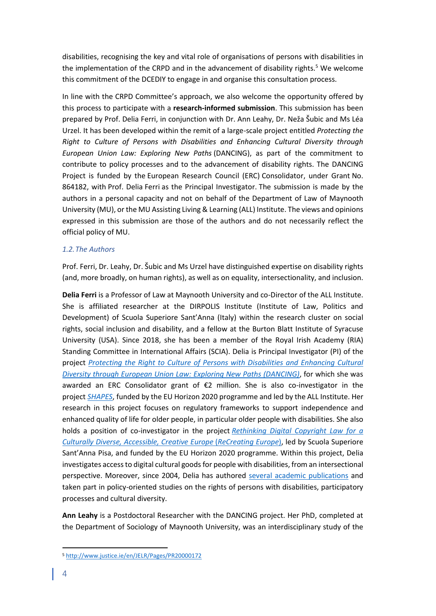disabilities, recognising the key and vital role of organisations of persons with disabilities in the implementation of the CRPD and in the advancement of disability rights.<sup>5</sup> We welcome this commitment of the DCEDIY to engage in and organise this consultation process.

In line with the CRPD Committee's approach, we also welcome the opportunity offered by this process to participate with a **research-informed submission**. This submission has been prepared by Prof. Delia Ferri, in conjunction with Dr. Ann Leahy, Dr. Neža Šubic and Ms Léa Urzel. It has been developed within the remit of a large-scale project entitled *Protecting the Right to Culture of Persons with Disabilities and Enhancing Cultural Diversity through European Union Law: Exploring New Paths* (DANCING), as part of the commitment to contribute to policy processes and to the advancement of disability rights. The DANCING Project is funded by the European Research Council (ERC) Consolidator, under Grant No. 864182, with Prof. Delia Ferri as the Principal Investigator. The submission is made by the authors in a personal capacity and not on behalf of the Department of Law of Maynooth University (MU), or the MU Assisting Living & Learning (ALL) Institute. The views and opinions expressed in this submission are those of the authors and do not necessarily reflect the official policy of MU.

# <span id="page-3-0"></span>*1.2.The Authors*

Prof. Ferri, Dr. Leahy, Dr. Šubic and Ms Urzel have distinguished expertise on disability rights (and, more broadly, on human rights), as well as on equality, intersectionality, and inclusion.

**Delia Ferri** is a Professor of Law at Maynooth University and co-Director of the ALL Institute. She is affiliated researcher at the DIRPOLIS Institute (Institute of Law, Politics and Development) of Scuola Superiore Sant'Anna (Italy) within the research cluster on social rights, social inclusion and disability, and a fellow at the Burton Blatt Institute of Syracuse University (USA). Since 2018, she has been a member of the Royal Irish Academy (RIA) Standing Committee in International Affairs (SCIA). Delia is Principal Investigator (PI) of the project *[Protecting the Right to Culture of Persons with Disabilities and Enhancing Cultural](https://ercdancing.maynoothuniversity.ie/)  [Diversity through European Union Law: Exploring New Paths \(DANCING\)](https://ercdancing.maynoothuniversity.ie/)*, for which she was awarded an ERC Consolidator grant of  $\epsilon$ 2 million. She is also co-investigator in the project *[SHAPES](https://shapes2020.eu/)*, funded by the EU Horizon 2020 programme and led by the ALL Institute. Her research in this project focuses on regulatory frameworks to support independence and enhanced quality of life for older people, in particular older people with disabilities. She also holds a position of co-investigator in the project *[Rethinking Digital Copyright Law for a](https://www.recreating.eu/)  [Culturally Diverse, Accessible, Creative Europe](https://www.recreating.eu/)* (*ReCreating Europe*), led by Scuola Superiore Sant'Anna Pisa, and funded by the EU Horizon 2020 programme. Within this project, Delia investigates access to digital cultural goods for people with disabilities, from an intersectional perspective. Moreover, since 2004, Delia has authored [several academic publications](https://www.maynoothuniversity.ie/law/our-people/delia-ferri#3) and taken part in policy-oriented studies on the rights of persons with disabilities, participatory processes and cultural diversity.

**Ann Leahy** is a Postdoctoral Researcher with the DANCING project. Her PhD, completed at the Department of Sociology of Maynooth University, was an interdisciplinary study of the

<sup>5</sup> <http://www.justice.ie/en/JELR/Pages/PR20000172>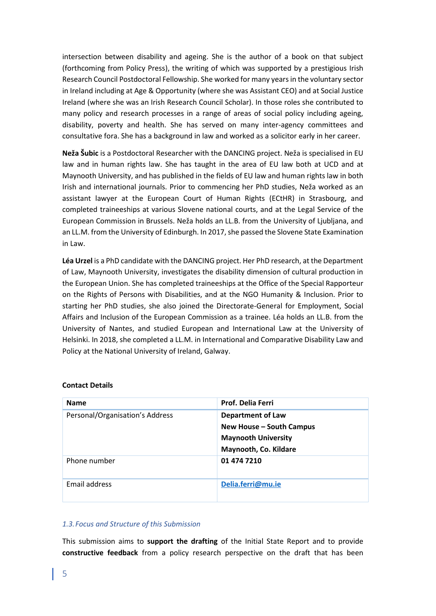intersection between disability and ageing. She is the author of a book on that subject (forthcoming from Policy Press), the writing of which was supported by a prestigious Irish Research Council Postdoctoral Fellowship. She worked for many years in the voluntary sector in Ireland including at Age & Opportunity (where she was Assistant CEO) and at Social Justice Ireland (where she was an Irish Research Council Scholar). In those roles she contributed to many policy and research processes in a range of areas of social policy including ageing, disability, poverty and health. She has served on many inter-agency committees and consultative fora. She has a background in law and worked as a solicitor early in her career.

**Neža Šubic** is a Postdoctoral Researcher with the DANCING project. Neža is specialised in EU law and in human rights law. She has taught in the area of EU law both at UCD and at Maynooth University, and has published in the fields of EU law and human rights law in both Irish and international journals. Prior to commencing her PhD studies, Neža worked as an assistant lawyer at the European Court of Human Rights (ECtHR) in Strasbourg, and completed traineeships at various Slovene national courts, and at the Legal Service of the European Commission in Brussels. Neža holds an LL.B. from the University of Ljubljana, and an LL.M. from the University of Edinburgh. In 2017, she passed the Slovene State Examination in Law.

**Léa Urzel** is a PhD candidate with the DANCING project. Her PhD research, at the Department of Law, Maynooth University, investigates the disability dimension of cultural production in the European Union. She has completed traineeships at the Office of the Special Rapporteur on the Rights of Persons with Disabilities, and at the NGO Humanity & Inclusion. Prior to starting her PhD studies, she also joined the Directorate-General for Employment, Social Affairs and Inclusion of the European Commission as a trainee. Léa holds an LL.B. from the University of Nantes, and studied European and International Law at the University of Helsinki. In 2018, she completed a LL.M. in International and Comparative Disability Law and Policy at the National University of Ireland, Galway.

| <b>Name</b>                     | <b>Prof. Delia Ferri</b>   |
|---------------------------------|----------------------------|
| Personal/Organisation's Address | <b>Department of Law</b>   |
|                                 | New House - South Campus   |
|                                 | <b>Maynooth University</b> |
|                                 | Maynooth, Co. Kildare      |
| Phone number                    | 01 474 7210                |
| Email address                   | Delia.ferri@mu.ie          |

#### **Contact Details**

### <span id="page-4-0"></span>*1.3.Focus and Structure of this Submission*

This submission aims to **support the drafting** of the Initial State Report and to provide **constructive feedback** from a policy research perspective on the draft that has been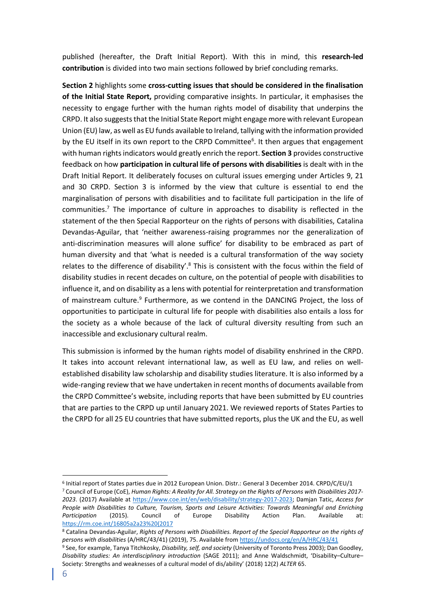published (hereafter, the Draft Initial Report). With this in mind, this **research-led contribution** is divided into two main sections followed by brief concluding remarks.

**Section 2** highlights some **cross-cutting issues that should be considered in the finalisation of the Initial State Report,** providing comparative insights. In particular, it emphasises the necessity to engage further with the human rights model of disability that underpins the CRPD. It also suggests that the Initial State Report might engage more with relevant European Union (EU) law, as well as EU funds available to Ireland, tallying with the information provided by the EU itself in its own report to the CRPD Committee<sup>6</sup>. It then argues that engagement with human rights indicators would greatly enrich the report. **Section 3** provides constructive feedback on how **participation in cultural life of persons with disabilities** is dealt with in the Draft Initial Report. It deliberately focuses on cultural issues emerging under Articles 9, 21 and 30 CRPD. Section 3 is informed by the view that culture is essential to end the marginalisation of persons with disabilities and to facilitate full participation in the life of communities. <sup>7</sup> The importance of culture in approaches to disability is reflected in the statement of the then Special Rapporteur on the rights of persons with disabilities, Catalina Devandas-Aguilar, that 'neither awareness-raising programmes nor the generalization of anti-discrimination measures will alone suffice' for disability to be embraced as part of human diversity and that 'what is needed is a cultural transformation of the way society relates to the difference of disability'. $8$  This is consistent with the focus within the field of disability studies in recent decades on culture, on the potential of people with disabilities to influence it, and on disability as a lens with potential for reinterpretation and transformation of mainstream culture.<sup>9</sup> Furthermore, as we contend in the DANCING Project, the loss of opportunities to participate in cultural life for people with disabilities also entails a loss for the society as a whole because of the lack of cultural diversity resulting from such an inaccessible and exclusionary cultural realm.

This submission is informed by the human rights model of disability enshrined in the CRPD. It takes into account relevant international law, as well as EU law, and relies on wellestablished disability law scholarship and disability studies literature. It is also informed by a wide-ranging review that we have undertaken in recent months of documents available from the CRPD Committee's website, including reports that have been submitted by EU countries that are parties to the CRPD up until January 2021. We reviewed reports of States Parties to the CRPD for all 25 EU countries that have submitted reports, plus the UK and the EU, as well

<sup>6</sup> Initial report of States parties due in 2012 European Union. Distr.: General 3 December 2014. CRPD/C/EU/1 <sup>7</sup> Council of Europe (CoE), *Human Rights: A Reality for All. Strategy on the Rights of Persons with Disabilities 2017- 2023*. (2017) Available at [https://www.coe.int/en/web/disability/strategy-2017-2023;](https://www.coe.int/en/web/disability/strategy-2017-2023) Damjan Tatic, *Access for People with Disabilities to Culture, Tourism, Sports and Leisure Activities: Towards Meaningful and Enriching Participation* (2015). Council of Europe Disability Action Plan. Available at: [https://rm.coe.int/16805a2a23%20\(2017](https://rm.coe.int/16805a2a23%20(2017)

<sup>8</sup> Catalina Devandas-Aguilar, *Rights of Persons with Disabilities. Report of the Special Rapporteur on the rights of persons with disabilities* (A/HRC/43/41) (2019), 75. Available fro[m https://undocs.org/en/A/HRC/43/41](https://undocs.org/en/A/HRC/43/41) <sup>9</sup> See, for example, Tanya Titchkosky, *Disability, self, and society* (University of Toronto Press 2003); Dan Goodley, *Disability studies: An interdisciplinary introduction* (SAGE 2011); and Anne Waldschmidt, 'Disability–Culture– Society: Strengths and weaknesses of a cultural model of dis/ability' (2018) 12(2) *ALTER* 65.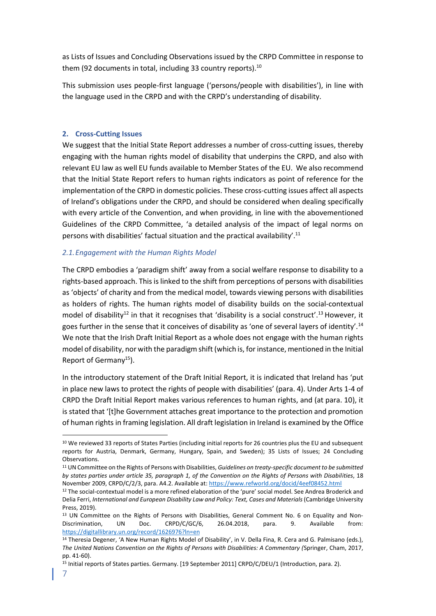as Lists of Issues and Concluding Observations issued by the CRPD Committee in response to them (92 documents in total, including 33 country reports).<sup>10</sup>

This submission uses people-first language ('persons/people with disabilities'), in line with the language used in the CRPD and with the CRPD's understanding of disability.

# <span id="page-6-0"></span>**2. Cross-Cutting Issues**

We suggest that the Initial State Report addresses a number of cross-cutting issues, thereby engaging with the human rights model of disability that underpins the CRPD, and also with relevant EU law as well EU funds available to Member States of the EU. We also recommend that the Initial State Report refers to human rights indicators as point of reference for the implementation of the CRPD in domestic policies. These cross-cutting issues affect all aspects of Ireland's obligations under the CRPD, and should be considered when dealing specifically with every article of the Convention, and when providing, in line with the abovementioned Guidelines of the CRPD Committee, 'a detailed analysis of the impact of legal norms on persons with disabilities' factual situation and the practical availability'.<sup>11</sup>

# <span id="page-6-1"></span>*2.1.Engagement with the Human Rights Model*

The CRPD embodies a 'paradigm shift' away from a social welfare response to disability to a rights-based approach. This is linked to the shift from perceptions of persons with disabilities as 'objects' of charity and from the medical model, towards viewing persons with disabilities as holders of rights. The human rights model of disability builds on the social-contextual model of disability<sup>12</sup> in that it recognises that 'disability is a social construct'.<sup>13</sup> However, it goes further in the sense that it conceives of disability as 'one of several layers of identity'.<sup>14</sup> We note that the Irish Draft Initial Report as a whole does not engage with the human rights model of disability, nor with the paradigm shift (which is, for instance, mentioned in the Initial Report of Germany<sup>15</sup>).

In the introductory statement of the Draft Initial Report, it is indicated that Ireland has 'put in place new laws to protect the rights of people with disabilities' (para. 4). Under Arts 1-4 of CRPD the Draft Initial Report makes various references to human rights, and (at para. 10), it is stated that '[t]he Government attaches great importance to the protection and promotion of human rights in framing legislation. All draft legislation in Ireland is examined by the Office

<sup>10</sup> We reviewed 33 reports of States Parties (including initial reports for 26 countries plus the EU and subsequent reports for Austria, Denmark, Germany, Hungary, Spain, and Sweden); 35 Lists of Issues; 24 Concluding Observations.

<sup>11</sup> UN Committee on the Rights of Persons with Disabilities, *Guidelines on treaty-specific document to be submitted by states parties under article 35, paragraph 1, of the Convention on the Rights of Persons with Disabilities*, 18 November 2009, CRPD/C/2/3, para. A4.2. Available at[: https://www.refworld.org/docid/4eef08452.html](https://www.refworld.org/docid/4eef08452.html)

<sup>&</sup>lt;sup>12</sup> The social-contextual model is a more refined elaboration of the 'pure' social model. See Andrea Broderick and Delia Ferri, *International and European Disability Law and Policy: Text, Cases and Materials* (Cambridge University Press, 2019).

<sup>&</sup>lt;sup>13</sup> UN Committee on the Rights of Persons with Disabilities, General Comment No. 6 on Equality and Non-Discrimination, UN Doc. CRPD/C/GC/6, 26.04.2018, para. 9. Available from: <https://digitallibrary.un.org/record/1626976?ln=en>

<sup>&</sup>lt;sup>14</sup> Theresia Degener, 'A New Human Rights Model of Disability', in V. Della Fina, R. Cera and G. Palmisano (eds.), *The United Nations Convention on the Rights of Persons with Disabilities: A Commentary (*Springer, Cham, 2017, pp. 41-60).

<sup>&</sup>lt;sup>15</sup> Initial reports of States parties. Germany. [19 September 2011] CRPD/C/DEU/1 (Introduction, para. 2).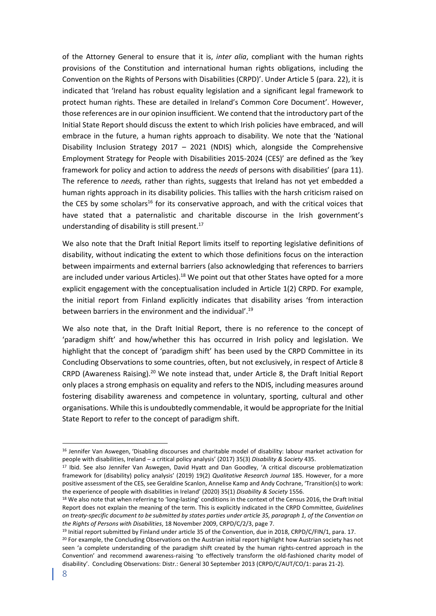of the Attorney General to ensure that it is, *inter alia*, compliant with the human rights provisions of the Constitution and international human rights obligations, including the Convention on the Rights of Persons with Disabilities (CRPD)'. Under Article 5 (para. 22), it is indicated that 'Ireland has robust equality legislation and a significant legal framework to protect human rights. These are detailed in Ireland's Common Core Document'. However, those references are in our opinion insufficient. We contend that the introductory part of the Initial State Report should discuss the extent to which Irish policies have embraced, and will embrace in the future, a human rights approach to disability. We note that the 'National Disability Inclusion Strategy 2017 – 2021 (NDIS) which, alongside the Comprehensive Employment Strategy for People with Disabilities 2015-2024 (CES)' are defined as the 'key framework for policy and action to address the *needs* of persons with disabilities' (para 11). The reference to *needs,* rather than rights, suggests that Ireland has not yet embedded a human rights approach in its disability policies. This tallies with the harsh criticism raised on the CES by some scholars<sup>16</sup> for its conservative approach, and with the critical voices that have stated that a paternalistic and charitable discourse in the Irish government's understanding of disability is still present. $17$ 

We also note that the Draft Initial Report limits itself to reporting legislative definitions of disability, without indicating the extent to which those definitions focus on the interaction between impairments and external barriers (also acknowledging that references to barriers are included under various Articles).<sup>18</sup> We point out that other States have opted for a more explicit engagement with the conceptualisation included in Article 1(2) CRPD. For example, the initial report from Finland explicitly indicates that disability arises 'from interaction between barriers in the environment and the individual'.<sup>19</sup>

We also note that, in the Draft Initial Report, there is no reference to the concept of 'paradigm shift' and how/whether this has occurred in Irish policy and legislation. We highlight that the concept of 'paradigm shift' has been used by the CRPD Committee in its Concluding Observations to some countries, often, but not exclusively, in respect of Article 8 CRPD (Awareness Raising).<sup>20</sup> We note instead that, under Article 8, the Draft Initial Report only places a strong emphasis on equality and refers to the NDIS, including measures around fostering disability awareness and competence in voluntary, sporting, cultural and other organisations. While this is undoubtedly commendable, it would be appropriate for the Initial State Report to refer to the concept of paradigm shift.

<sup>16</sup> Jennifer Van Aswegen, 'Disabling discourses and charitable model of disability: labour market activation for people with disabilities, Ireland – a critical policy analysis' (2017) 35(3) *Disability & Society* 435.

<sup>17</sup> Ibid. See also Jennifer Van Aswegen, David Hyatt and Dan Goodley, 'A critical discourse problematization framework for (disability) policy analysis' (2019) 19(2) *Qualitative Research Journal* 185. However, for a more positive assessment of the CES, see Geraldine Scanlon, Annelise Kamp and Andy Cochrane, 'Transition(s) to work: the experience of people with disabilities in Ireland' (2020) 35(1) *Disability & Society* 1556.

<sup>&</sup>lt;sup>18</sup> We also note that when referring to 'long-lasting' conditions in the context of the Census 2016, the Draft Initial Report does not explain the meaning of the term. This is explicitly indicated in the CRPD Committee, *Guidelines on treaty-specific document to be submitted by states parties under article 35, paragraph 1, of the Convention on the Rights of Persons with Disabilities*, 18 November 2009, CRPD/C/2/3, page 7.

<sup>19</sup> Initial report submitted by Finland under article 35 of the Convention, due in 2018, CRPD/C/FIN/1, para. 17. <sup>20</sup> For example, the Concluding Observations on the Austrian initial report highlight how Austrian society has not seen 'a complete understanding of the paradigm shift created by the human rights-centred approach in the Convention' and recommend awareness-raising 'to effectively transform the old-fashioned charity model of disability'. Concluding Observations: Distr.: General 30 September 2013 (CRPD/C/AUT/CO/1: paras 21-2).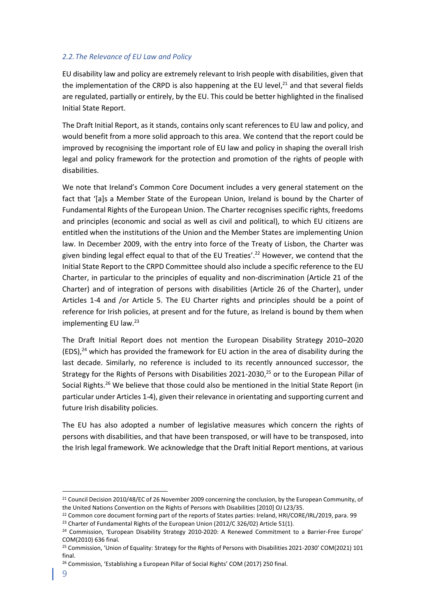# <span id="page-8-0"></span>*2.2.The Relevance of EU Law and Policy*

EU disability law and policy are extremely relevant to Irish people with disabilities, given that the implementation of the CRPD is also happening at the EU level, $^{21}$  and that several fields are regulated, partially or entirely, by the EU. This could be better highlighted in the finalised Initial State Report.

The Draft Initial Report, as it stands, contains only scant references to EU law and policy, and would benefit from a more solid approach to this area. We contend that the report could be improved by recognising the important role of EU law and policy in shaping the overall Irish legal and policy framework for the protection and promotion of the rights of people with disabilities.

We note that Ireland's Common Core Document includes a very general statement on the fact that '[a]s a Member State of the European Union, Ireland is bound by the Charter of Fundamental Rights of the European Union. The Charter recognises specific rights, freedoms and principles (economic and social as well as civil and political), to which EU citizens are entitled when the institutions of the Union and the Member States are implementing Union law. In December 2009, with the entry into force of the Treaty of Lisbon, the Charter was given binding legal effect equal to that of the EU Treaties'. <sup>22</sup> However, we contend that the Initial State Report to the CRPD Committee should also include a specific reference to the EU Charter, in particular to the principles of equality and non-discrimination (Article 21 of the Charter) and of integration of persons with disabilities (Article 26 of the Charter), under Articles 1-4 and /or Article 5. The EU Charter rights and principles should be a point of reference for Irish policies, at present and for the future, as Ireland is bound by them when implementing EU law.<sup>23</sup>

The Draft Initial Report does not mention the European Disability Strategy 2010–2020  $(EDS)<sup>24</sup>$  which has provided the framework for EU action in the area of disability during the last decade. Similarly, no reference is included to its recently announced successor, the Strategy for the Rights of Persons with Disabilities 2021-2030,<sup>25</sup> or to the European Pillar of Social Rights.<sup>26</sup> We believe that those could also be mentioned in the Initial State Report (in particular under Articles 1-4), given their relevance in orientating and supporting current and future Irish disability policies.

The EU has also adopted a number of legislative measures which concern the rights of persons with disabilities, and that have been transposed, or will have to be transposed, into the Irish legal framework. We acknowledge that the Draft Initial Report mentions, at various

<sup>&</sup>lt;sup>21</sup> Council Decision 2010/48/EC of 26 November 2009 concerning the conclusion, by the European Community, of the United Nations Convention on the Rights of Persons with Disabilities [2010] OJ L23/35.

<sup>&</sup>lt;sup>22</sup> Common core document forming part of the reports of States parties: Ireland, HRI/CORE/IRL/2019, para. 99

<sup>&</sup>lt;sup>23</sup> Charter of Fundamental Rights of the European Union (2012/C 326/02) Article 51(1).

<sup>&</sup>lt;sup>24</sup> Commission, 'European Disability Strategy 2010-2020: A Renewed Commitment to a Barrier-Free Europe' COM(2010) 636 final.

<sup>&</sup>lt;sup>25</sup> Commission, 'Union of Equality: Strategy for the Rights of Persons with Disabilities 2021-2030' COM(2021) 101 final.

<sup>&</sup>lt;sup>26</sup> Commission, 'Establishing a European Pillar of Social Rights' COM (2017) 250 final.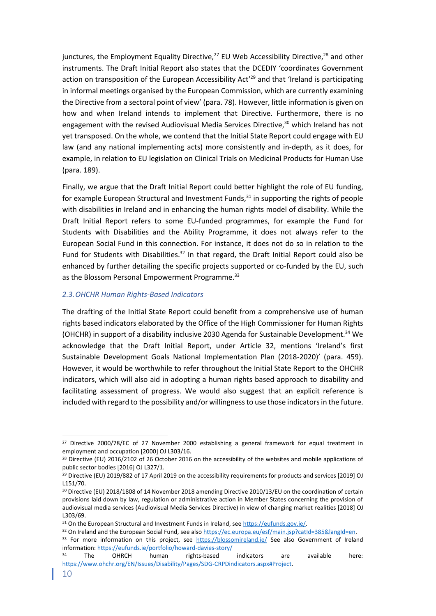junctures, the Employment Equality Directive, $27$  EU Web Accessibility Directive, $28$  and other instruments. The Draft Initial Report also states that the DCEDIY 'coordinates Government action on transposition of the European Accessibility Act' <sup>29</sup> and that 'Ireland is participating in informal meetings organised by the European Commission, which are currently examining the Directive from a sectoral point of view' (para. 78). However, little information is given on how and when Ireland intends to implement that Directive. Furthermore, there is no engagement with the revised Audiovisual Media Services Directive, $30$  which Ireland has not yet transposed. On the whole, we contend that the Initial State Report could engage with EU law (and any national implementing acts) more consistently and in-depth, as it does, for example, in relation to EU legislation on Clinical Trials on Medicinal Products for Human Use (para. 189).

Finally, we argue that the Draft Initial Report could better highlight the role of EU funding, for example European Structural and Investment Funds, $31$  in supporting the rights of people with disabilities in Ireland and in enhancing the human rights model of disability. While the Draft Initial Report refers to some EU-funded programmes, for example the Fund for Students with Disabilities and the Ability Programme, it does not always refer to the European Social Fund in this connection. For instance, it does not do so in relation to the Fund for Students with Disabilities.<sup>32</sup> In that regard, the Draft Initial Report could also be enhanced by further detailing the specific projects supported or co-funded by the EU, such as the Blossom Personal Empowerment Programme.<sup>33</sup>

# <span id="page-9-0"></span>*2.3.OHCHR Human Rights-Based Indicators*

The drafting of the Initial State Report could benefit from a comprehensive use of human rights based indicators elaborated by the Office of the High Commissioner for Human Rights (OHCHR) in support of a disability inclusive 2030 Agenda for Sustainable Development.<sup>34</sup> We acknowledge that the Draft Initial Report, under Article 32, mentions 'Ireland's first Sustainable Development Goals National Implementation Plan (2018-2020)' (para. 459). However, it would be worthwhile to refer throughout the Initial State Report to the OHCHR indicators, which will also aid in adopting a human rights based approach to disability and facilitating assessment of progress. We would also suggest that an explicit reference is included with regard to the possibility and/or willingness to use those indicators in the future.

<sup>&</sup>lt;sup>27</sup> Directive 2000/78/EC of 27 November 2000 establishing a general framework for equal treatment in employment and occupation [2000] OJ L303/16.

<sup>&</sup>lt;sup>28</sup> Directive (EU) 2016/2102 of 26 October 2016 on the accessibility of the websites and mobile applications of public sector bodies [2016] OJ L327/1.

<sup>&</sup>lt;sup>29</sup> Directive (EU) 2019/882 of 17 April 2019 on the accessibility requirements for products and services [2019] OJ L151/70.

<sup>30</sup> Directive (EU) 2018/1808 of 14 November 2018 amending Directive 2010/13/EU on the coordination of certain provisions laid down by law, regulation or administrative action in Member States concerning the provision of audiovisual media services (Audiovisual Media Services Directive) in view of changing market realities [2018] OJ L303/69.

<sup>31</sup> On the European Structural and Investment Funds in Ireland, see [https://eufunds.gov.ie/.](https://eufunds.gov.ie/) 

<sup>32</sup> On Ireland and the European Social Fund, see also [https://ec.europa.eu/esf/main.jsp?catId=385&langId=en.](https://ec.europa.eu/esf/main.jsp?catId=385&langId=en) 

<sup>33</sup> For more information on this project, see <https://blossomireland.ie/> See also Government of Ireland information:<https://eufunds.ie/portfolio/howard-davies-story/>

<sup>&</sup>lt;sup>34</sup> The OHRCH human rights-based indicators are available here: [https://www.ohchr.org/EN/Issues/Disability/Pages/SDG-CRPDindicators.aspx#Project.](https://www.ohchr.org/EN/Issues/Disability/Pages/SDG-CRPDindicators.aspx#Project)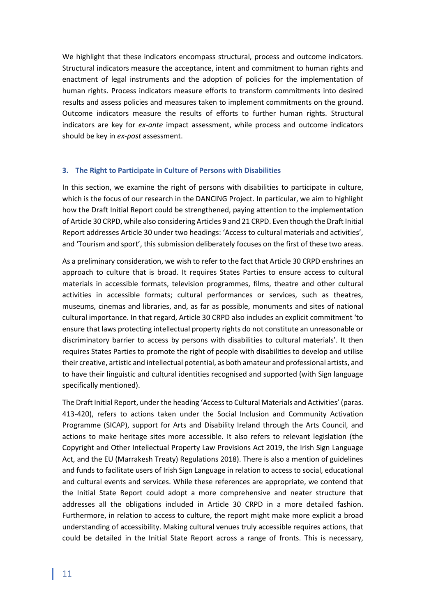We highlight that these indicators encompass structural, process and outcome indicators. Structural indicators measure the acceptance, intent and commitment to human rights and enactment of legal instruments and the adoption of policies for the implementation of human rights. Process indicators measure efforts to transform commitments into desired results and assess policies and measures taken to implement commitments on the ground. Outcome indicators measure the results of efforts to further human rights. Structural indicators are key for *ex-ante* impact assessment, while process and outcome indicators should be key in *ex-post* assessment.

### <span id="page-10-0"></span>**3. The Right to Participate in Culture of Persons with Disabilities**

In this section, we examine the right of persons with disabilities to participate in culture, which is the focus of our research in the DANCING Project. In particular, we aim to highlight how the Draft Initial Report could be strengthened, paying attention to the implementation of Article 30 CRPD, while also considering Articles 9 and 21 CRPD. Even though the Draft Initial Report addresses Article 30 under two headings: 'Access to cultural materials and activities', and 'Tourism and sport', this submission deliberately focuses on the first of these two areas.

As a preliminary consideration, we wish to refer to the fact that Article 30 CRPD enshrines an approach to culture that is broad. It requires States Parties to ensure access to cultural materials in accessible formats, television programmes, films, theatre and other cultural activities in accessible formats; cultural performances or services, such as theatres, museums, cinemas and libraries, and, as far as possible, monuments and sites of national cultural importance. In that regard, Article 30 CRPD also includes an explicit commitment 'to ensure that laws protecting intellectual property rights do not constitute an unreasonable or discriminatory barrier to access by persons with disabilities to cultural materials'. It then requires States Parties to promote the right of people with disabilities to develop and utilise their creative, artistic and intellectual potential, as both amateur and professional artists, and to have their linguistic and cultural identities recognised and supported (with Sign language specifically mentioned).

The Draft Initial Report, under the heading 'Access to Cultural Materials and Activities' (paras. 413-420), refers to actions taken under the Social Inclusion and Community Activation Programme (SICAP), support for Arts and Disability Ireland through the Arts Council, and actions to make heritage sites more accessible. It also refers to relevant legislation (the Copyright and Other Intellectual Property Law Provisions Act 2019, the Irish Sign Language Act, and the EU (Marrakesh Treaty) Regulations 2018). There is also a mention of guidelines and funds to facilitate users of Irish Sign Language in relation to access to social, educational and cultural events and services. While these references are appropriate, we contend that the Initial State Report could adopt a more comprehensive and neater structure that addresses all the obligations included in Article 30 CRPD in a more detailed fashion. Furthermore, in relation to access to culture, the report might make more explicit a broad understanding of accessibility. Making cultural venues truly accessible requires actions, that could be detailed in the Initial State Report across a range of fronts. This is necessary,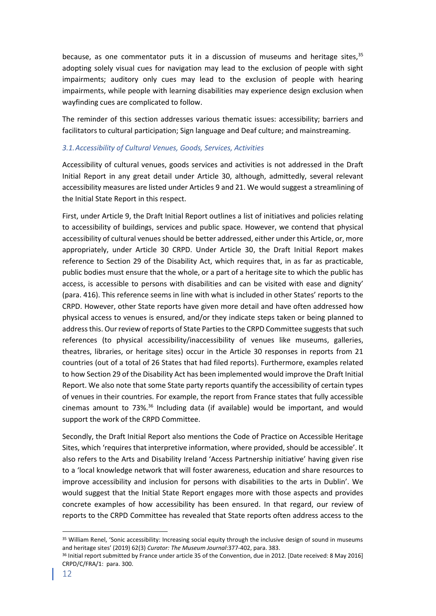because, as one commentator puts it in a discussion of museums and heritage sites,  $35$ adopting solely visual cues for navigation may lead to the exclusion of people with sight impairments; auditory only cues may lead to the exclusion of people with hearing impairments, while people with learning disabilities may experience design exclusion when wayfinding cues are complicated to follow.

The reminder of this section addresses various thematic issues: accessibility; barriers and facilitators to cultural participation; Sign language and Deaf culture; and mainstreaming.

# <span id="page-11-0"></span>*3.1.Accessibility of Cultural Venues, Goods, Services, Activities*

Accessibility of cultural venues, goods services and activities is not addressed in the Draft Initial Report in any great detail under Article 30, although, admittedly, several relevant accessibility measures are listed under Articles 9 and 21. We would suggest a streamlining of the Initial State Report in this respect.

First, under Article 9, the Draft Initial Report outlines a list of initiatives and policies relating to accessibility of buildings, services and public space. However, we contend that physical accessibility of cultural venues should be better addressed, either under this Article, or, more appropriately, under Article 30 CRPD. Under Article 30, the Draft Initial Report makes reference to Section 29 of the Disability Act, which requires that, in as far as practicable, public bodies must ensure that the whole, or a part of a heritage site to which the public has access, is accessible to persons with disabilities and can be visited with ease and dignity' (para. 416). This reference seems in line with what is included in other States' reports to the CRPD. However, other State reports have given more detail and have often addressed how physical access to venues is ensured, and/or they indicate steps taken or being planned to address this. Our review of reports of State Parties to the CRPD Committee suggests that such references (to physical accessibility/inaccessibility of venues like museums, galleries, theatres, libraries, or heritage sites) occur in the Article 30 responses in reports from 21 countries (out of a total of 26 States that had filed reports). Furthermore, examples related to how Section 29 of the Disability Act has been implemented would improve the Draft Initial Report. We also note that some State party reports quantify the accessibility of certain types of venues in their countries. For example, the report from France states that fully accessible cinemas amount to  $73\%$ .<sup>36</sup> Including data (if available) would be important, and would support the work of the CRPD Committee.

Secondly, the Draft Initial Report also mentions the Code of Practice on Accessible Heritage Sites, which 'requires that interpretive information, where provided, should be accessible'. It also refers to the Arts and Disability Ireland 'Access Partnership initiative' having given rise to a 'local knowledge network that will foster awareness, education and share resources to improve accessibility and inclusion for persons with disabilities to the arts in Dublin'. We would suggest that the Initial State Report engages more with those aspects and provides concrete examples of how accessibility has been ensured. In that regard, our review of reports to the CRPD Committee has revealed that State reports often address access to the

<sup>&</sup>lt;sup>35</sup> William Renel, 'Sonic accessibility: Increasing social equity through the inclusive design of sound in museums and heritage sites' (2019) 62(3) *Curator: The Museum Journal*:377-402, para. 383.

<sup>&</sup>lt;sup>36</sup> Initial report submitted by France under article 35 of the Convention, due in 2012. [Date received: 8 May 2016] CRPD/C/FRA/1: para. 300.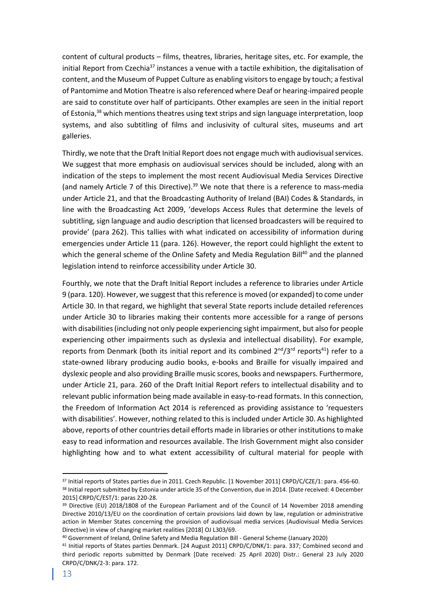content of cultural products – films, theatres, libraries, heritage sites, etc. For example, the initial Report from Czechia<sup>37</sup> instances a venue with a tactile exhibition, the digitalisation of content, and the Museum of Puppet Culture as enabling visitors to engage by touch; a festival of Pantomime and Motion Theatre is also referenced where Deaf or hearing-impaired people are said to constitute over half of participants. Other examples are seen in the initial report of Estonia,<sup>38</sup> which mentions theatres using text strips and sign language interpretation, loop systems, and also subtitling of films and inclusivity of cultural sites, museums and art galleries.

Thirdly, we note that the Draft Initial Report does not engage much with audiovisual services. We suggest that more emphasis on audiovisual services should be included, along with an indication of the steps to implement the most recent Audiovisual Media Services Directive (and namely Article 7 of this Directive). $39$  We note that there is a reference to mass-media under Article 21, and that the Broadcasting Authority of Ireland (BAI) Codes & Standards, in line with the Broadcasting Act 2009, 'develops Access Rules that determine the levels of subtitling, sign language and audio description that licensed broadcasters will be required to provide' (para 262). This tallies with what indicated on accessibility of information during emergencies under Article 11 (para. 126). However, the report could highlight the extent to which the general scheme of the Online Safety and Media Regulation Bill<sup>40</sup> and the planned legislation intend to reinforce accessibility under Article 30.

Fourthly, we note that the Draft Initial Report includes a reference to libraries under Article 9 (para. 120). However, we suggest that this reference is moved (or expanded) to come under Article 30. In that regard, we highlight that several State reports include detailed references under Article 30 to libraries making their contents more accessible for a range of persons with disabilities (including not only people experiencing sight impairment, but also for people experiencing other impairments such as dyslexia and intellectual disability). For example, reports from Denmark (both its initial report and its combined  $2^{nd}/3^{rd}$  reports<sup>41</sup>) refer to a state-owned library producing audio books, e-books and Braille for visually impaired and dyslexic people and also providing Braille music scores, books and newspapers. Furthermore, under Article 21, para. 260 of the Draft Initial Report refers to intellectual disability and to relevant public information being made available in easy-to-read formats. In this connection, the Freedom of Information Act 2014 is referenced as providing assistance to 'requesters with disabilities'. However, nothing related to this is included under Article 30. As highlighted above, reports of other countries detail efforts made in libraries or other institutions to make easy to read information and resources available. The Irish Government might also consider highlighting how and to what extent accessibility of cultural material for people with

<sup>37</sup> Initial reports of States parties due in 2011. Czech Republic. [1 November 2011] CRPD/C/CZE/1: para. 456-60. <sup>38</sup> Initial report submitted by Estonia under article 35 of the Convention, due in 2014. [Date received: 4 December 2015] CRPD/C/EST/1: paras 220-28.

<sup>&</sup>lt;sup>39</sup> Directive (EU) 2018/1808 of the European Parliament and of the Council of 14 November 2018 amending Directive 2010/13/EU on the coordination of certain provisions laid down by law, regulation or administrative action in Member States concerning the provision of audiovisual media services (Audiovisual Media Services Directive) in view of changing market realities [2018] OJ L303/69.

<sup>40</sup> Government of Ireland, Online Safety and Media Regulation Bill - General Scheme (January 2020)

<sup>41</sup> Initial reports of States parties Denmark. [24 August 2011] CRPD/C/DNK/1: para. 337; Combined second and third periodic reports submitted by Denmark [Date received: 25 April 2020] Distr.: General 23 July 2020 CRPD/C/DNK/2-3: para. 172.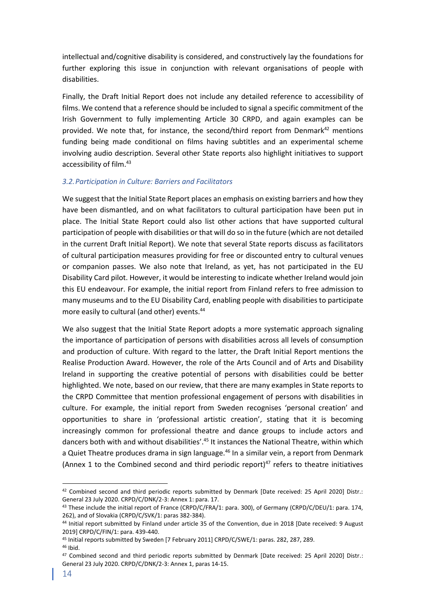intellectual and/cognitive disability is considered, and constructively lay the foundations for further exploring this issue in conjunction with relevant organisations of people with disabilities.

Finally, the Draft Initial Report does not include any detailed reference to accessibility of films. We contend that a reference should be included to signal a specific commitment of the Irish Government to fully implementing Article 30 CRPD, and again examples can be provided. We note that, for instance, the second/third report from Denmark $42$  mentions funding being made conditional on films having subtitles and an experimental scheme involving audio description. Several other State reports also highlight initiatives to support accessibility of film. 43

# <span id="page-13-0"></span>*3.2.Participation in Culture: Barriers and Facilitators*

We suggest that the Initial State Report places an emphasis on existing barriers and how they have been dismantled, and on what facilitators to cultural participation have been put in place. The Initial State Report could also list other actions that have supported cultural participation of people with disabilities or that will do so in the future (which are not detailed in the current Draft Initial Report). We note that several State reports discuss as facilitators of cultural participation measures providing for free or discounted entry to cultural venues or companion passes. We also note that Ireland, as yet, has not participated in the EU Disability Card pilot. However, it would be interesting to indicate whether Ireland would join this EU endeavour. For example, the initial report from Finland refers to free admission to many museums and to the EU Disability Card, enabling people with disabilities to participate more easily to cultural (and other) events. 44

We also suggest that the Initial State Report adopts a more systematic approach signaling the importance of participation of persons with disabilities across all levels of consumption and production of culture. With regard to the latter, the Draft Initial Report mentions the Realise Production Award. However, the role of the Arts Council and of Arts and Disability Ireland in supporting the creative potential of persons with disabilities could be better highlighted. We note, based on our review, that there are many examples in State reports to the CRPD Committee that mention professional engagement of persons with disabilities in culture. For example, the initial report from Sweden recognises 'personal creation' and opportunities to share in 'professional artistic creation', stating that it is becoming increasingly common for professional theatre and dance groups to include actors and dancers both with and without disabilities'.<sup>45</sup> It instances the National Theatre, within which a Quiet Theatre produces drama in sign language.<sup>46</sup> In a similar vein, a report from Denmark (Annex 1 to the Combined second and third periodic report) $47$  refers to theatre initiatives

<sup>42</sup> Combined second and third periodic reports submitted by Denmark [Date received: 25 April 2020] Distr.: General 23 July 2020. CRPD/C/DNK/2-3: Annex 1: para. 17.

<sup>&</sup>lt;sup>43</sup> These include the initial report of France (CRPD/C/FRA/1: para. 300), of Germany (CRPD/C/DEU/1: para. 174, 262), and of Slovakia (CRPD/C/SVK/1: paras 382-384).

<sup>44</sup> Initial report submitted by Finland under article 35 of the Convention, due in 2018 [Date received: 9 August 2019] CRPD/C/FIN/1: para. 439-440.

<sup>45</sup> Initial reports submitted by Sweden [7 February 2011] CRPD/C/SWE/1: paras. 282, 287, 289.

<sup>46</sup> Ibid.

<sup>47</sup> Combined second and third periodic reports submitted by Denmark [Date received: 25 April 2020] Distr.: General 23 July 2020. CRPD/C/DNK/2-3: Annex 1, paras 14-15.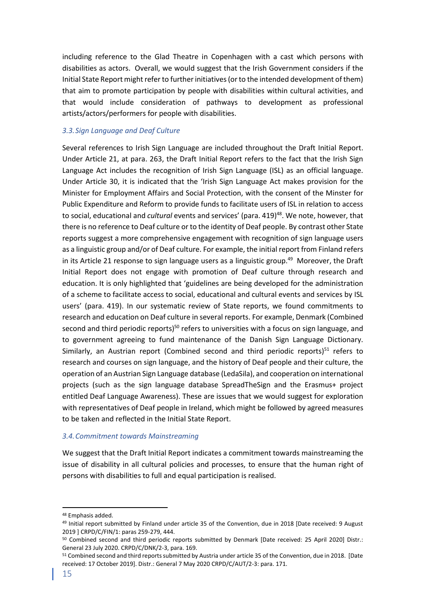including reference to the Glad Theatre in Copenhagen with a cast which persons with disabilities as actors. Overall, we would suggest that the Irish Government considers if the Initial State Report might refer to further initiatives (or to the intended development of them) that aim to promote participation by people with disabilities within cultural activities, and that would include consideration of pathways to development as professional artists/actors/performers for people with disabilities.

# <span id="page-14-0"></span>*3.3.Sign Language and Deaf Culture*

Several references to Irish Sign Language are included throughout the Draft Initial Report. Under Article 21, at para. 263, the Draft Initial Report refers to the fact that the Irish Sign Language Act includes the recognition of Irish Sign Language (ISL) as an official language. Under Article 30, it is indicated that the 'Irish Sign Language Act makes provision for the Minister for Employment Affairs and Social Protection, with the consent of the Minster for Public Expenditure and Reform to provide funds to facilitate users of ISL in relation to access to social, educational and *cultural* events and services' (para. 419) <sup>48</sup>. We note, however, that there is no reference to Deaf culture or to the identity of Deaf people. By contrast other State reports suggest a more comprehensive engagement with recognition of sign language users as a linguistic group and/or of Deaf culture. For example, the initial report from Finland refers in its Article 21 response to sign language users as a linguistic group. <sup>49</sup> Moreover, the Draft Initial Report does not engage with promotion of Deaf culture through research and education. It is only highlighted that 'guidelines are being developed for the administration of a scheme to facilitate access to social, educational and cultural events and services by ISL users' (para. 419). In our systematic review of State reports, we found commitments to research and education on Deaf culture in several reports. For example, Denmark (Combined second and third periodic reports)<sup>50</sup> refers to universities with a focus on sign language, and to government agreeing to fund maintenance of the Danish Sign Language Dictionary. Similarly, an Austrian report (Combined second and third periodic reports) $51$  refers to research and courses on sign language, and the history of Deaf people and their culture, the operation of an Austrian Sign Language database (LedaSila), and cooperation on international projects (such as the sign language database SpreadTheSign and the Erasmus+ project entitled Deaf Language Awareness). These are issues that we would suggest for exploration with representatives of Deaf people in Ireland, which might be followed by agreed measures to be taken and reflected in the Initial State Report.

### <span id="page-14-1"></span>*3.4.Commitment towards Mainstreaming*

We suggest that the Draft Initial Report indicates a commitment towards mainstreaming the issue of disability in all cultural policies and processes, to ensure that the human right of persons with disabilities to full and equal participation is realised.

<sup>48</sup> Emphasis added.

<sup>49</sup> Initial report submitted by Finland under article 35 of the Convention, due in 2018 [Date received: 9 August 2019 ] CRPD/C/FIN/1: paras 259-279, 444.

<sup>50</sup> Combined second and third periodic reports submitted by Denmark [Date received: 25 April 2020] Distr.: General 23 July 2020. CRPD/C/DNK/2-3, para. 169.

<sup>51</sup> Combined second and third reports submitted by Austria under article 35 of the Convention, due in 2018. [Date received: 17 October 2019]. Distr.: General 7 May 2020 CRPD/C/AUT/2-3: para. 171.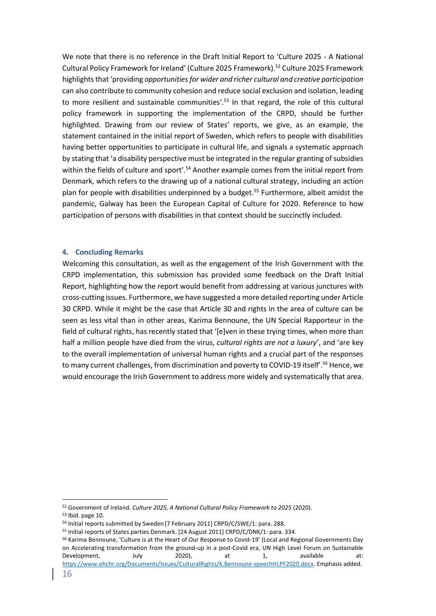We note that there is no reference in the Draft Initial Report to 'Culture 2025 - A National Cultural Policy Framework for Ireland' (Culture 2025 Framework).<sup>52</sup> Culture 2025 Framework highlights that 'providing *opportunities for wider and richer cultural and creative participation* can also contribute to community cohesion and reduce social exclusion and isolation, leading to more resilient and sustainable communities'.<sup>53</sup> In that regard, the role of this cultural policy framework in supporting the implementation of the CRPD, should be further highlighted. Drawing from our review of States' reports, we give, as an example, the statement contained in the initial report of Sweden, which refers to people with disabilities having better opportunities to participate in cultural life, and signals a systematic approach by stating that 'a disability perspective must be integrated in the regular granting of subsidies within the fields of culture and sport'.<sup>54</sup> Another example comes from the initial report from Denmark, which refers to the drawing up of a national cultural strategy, including an action plan for people with disabilities underpinned by a budget. <sup>55</sup> Furthermore, albeit amidst the pandemic, Galway has been the European Capital of Culture for 2020. Reference to how participation of persons with disabilities in that context should be succinctly included.

#### <span id="page-15-0"></span>**4. Concluding Remarks**

Welcoming this consultation, as well as the engagement of the Irish Government with the CRPD implementation, this submission has provided some feedback on the Draft Initial Report, highlighting how the report would benefit from addressing at various junctures with cross-cutting issues. Furthermore, we have suggested a more detailed reporting under Article 30 CRPD. While it might be the case that Article 30 and rights in the area of culture can be seen as less vital than in other areas, Karima Bennoune, the UN Special Rapporteur in the field of cultural rights, has recently stated that '[e]ven in these trying times, when more than half a million people have died from the virus, *cultural rights are not a luxury*', and 'are key to the overall implementation of universal human rights and a crucial part of the responses to many current challenges, from discrimination and poverty to COVID-19 itself'.<sup>56</sup> Hence, we would encourage the Irish Government to address more widely and systematically that area.

<sup>52</sup> Government of Ireland. *Culture 2025, A National Cultural Policy Framework to 2025* (2020).

<sup>53</sup> Ibid. page 10.

<sup>&</sup>lt;sup>54</sup> Initial reports submitted by Sweden [7 February 2011] CRPD/C/SWE/1: para. 288.

<sup>55</sup> Initial reports of States parties Denmark. [24 August 2011] CRPD/C/DNK/1: para. 334.

<sup>56</sup> Karima Bennoune, 'Culture is at the Heart of Our Response to Covid-19' (Local and Regional Governments Day on Accelerating transformation from the ground-up in a post-Covid era, UN High Level Forum on Sustainable Development, July 2020), at 1, available at: [https://www.ohchr.org/Documents/Issues/CulturalRights/K.Bennoune-speechHLPF2020.docx.](https://www.ohchr.org/Documents/Issues/CulturalRights/K.Bennoune-speechHLPF2020.docx) Emphasis added.